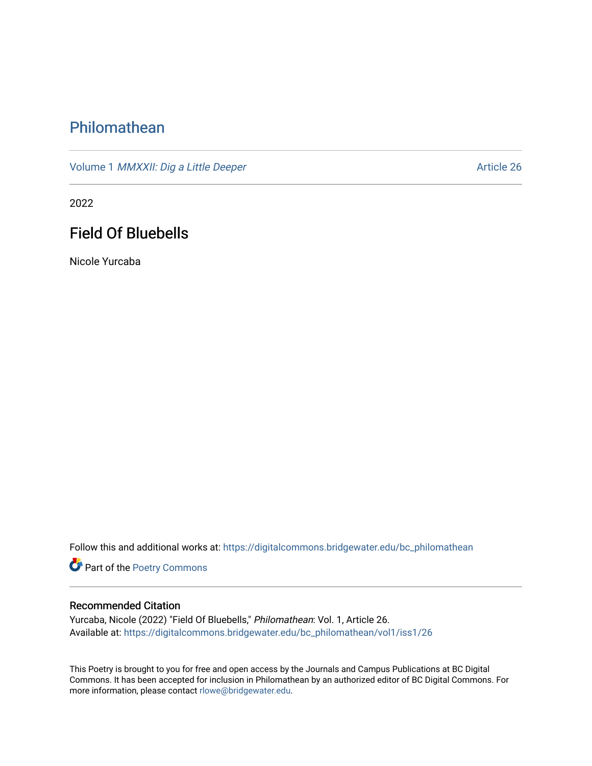## [Philomathean](https://digitalcommons.bridgewater.edu/bc_philomathean)

Volume 1 *[MMXXII: Dig a Little Deeper](https://digitalcommons.bridgewater.edu/bc_philomathean/vol1)* Article 26

2022

## Field Of Bluebells

Nicole Yurcaba

Follow this and additional works at: https://digitalcommons.bridgewater.edu/bc\_philomathean

Part of the [Poetry Commons](http://network.bepress.com/hgg/discipline/1153?utm_source=digitalcommons.bridgewater.edu%2Fbc_philomathean%2Fvol1%2Fiss1%2F26&utm_medium=PDF&utm_campaign=PDFCoverPages) 

## Recommended Citation

Yurcaba, Nicole (2022) "Field Of Bluebells," Philomathean: Vol. 1, Article 26. Available at: [https://digitalcommons.bridgewater.edu/bc\\_philomathean/vol1/iss1/26](https://digitalcommons.bridgewater.edu/bc_philomathean/vol1/iss1/26?utm_source=digitalcommons.bridgewater.edu%2Fbc_philomathean%2Fvol1%2Fiss1%2F26&utm_medium=PDF&utm_campaign=PDFCoverPages)

This Poetry is brought to you for free and open access by the Journals and Campus Publications at BC Digital Commons. It has been accepted for inclusion in Philomathean by an authorized editor of BC Digital Commons. For more information, please contact [rlowe@bridgewater.edu.](mailto:rlowe@bridgewater.edu)